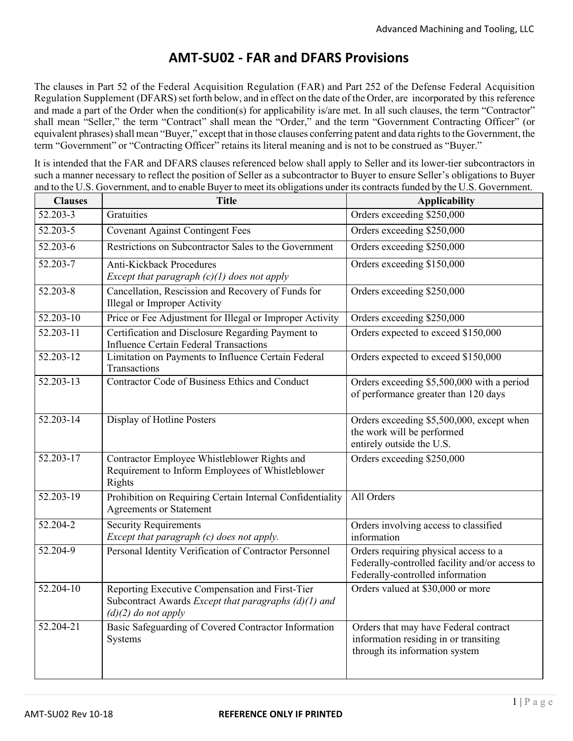## **AMT-SU02 - FAR and DFARS Provisions**

The clauses in Part 52 of the Federal Acquisition Regulation (FAR) and Part 252 of the Defense Federal Acquisition Regulation Supplement (DFARS) set forth below, and in effect on the date of the Order, are incorporated by this reference and made a part of the Order when the condition(s) for applicability is/are met. In all such clauses, the term "Contractor" shall mean "Seller," the term "Contract" shall mean the "Order," and the term "Government Contracting Officer" (or equivalent phrases) shall mean "Buyer," except that in those clauses conferring patent and data rights to the Government, the term "Government" or "Contracting Officer" retains its literal meaning and is not to be construed as "Buyer."

It is intended that the FAR and DFARS clauses referenced below shall apply to Seller and its lower-tier subcontractors in such a manner necessary to reflect the position of Seller as a subcontractor to Buyer to ensure Seller's obligations to Buyer and to the U.S. Government, and to enable Buyer to meet its obligations under its contracts funded by the U.S. Government.

| <b>Clauses</b> | <b>Title</b>                                                                                                                       | <b>Applicability</b>                                                                                                        |
|----------------|------------------------------------------------------------------------------------------------------------------------------------|-----------------------------------------------------------------------------------------------------------------------------|
| 52.203-3       | Gratuities                                                                                                                         | Orders exceeding \$250,000                                                                                                  |
| 52.203-5       | <b>Covenant Against Contingent Fees</b>                                                                                            | Orders exceeding \$250,000                                                                                                  |
| 52.203-6       | Restrictions on Subcontractor Sales to the Government                                                                              | Orders exceeding \$250,000                                                                                                  |
| $52.203 - 7$   | <b>Anti-Kickback Procedures</b><br>Except that paragraph $(c)(1)$ does not apply                                                   | Orders exceeding \$150,000                                                                                                  |
| 52.203-8       | Cancellation, Rescission and Recovery of Funds for<br>Illegal or Improper Activity                                                 | Orders exceeding \$250,000                                                                                                  |
| 52.203-10      | Price or Fee Adjustment for Illegal or Improper Activity                                                                           | Orders exceeding \$250,000                                                                                                  |
| 52.203-11      | Certification and Disclosure Regarding Payment to<br><b>Influence Certain Federal Transactions</b>                                 | Orders expected to exceed \$150,000                                                                                         |
| $52.203 - 12$  | Limitation on Payments to Influence Certain Federal<br>Transactions                                                                | Orders expected to exceed \$150,000                                                                                         |
| 52.203-13      | Contractor Code of Business Ethics and Conduct                                                                                     | Orders exceeding \$5,500,000 with a period<br>of performance greater than 120 days                                          |
| $52.203 - 14$  | Display of Hotline Posters                                                                                                         | Orders exceeding \$5,500,000, except when<br>the work will be performed<br>entirely outside the U.S.                        |
| $52.203 - 17$  | Contractor Employee Whistleblower Rights and<br>Requirement to Inform Employees of Whistleblower<br>Rights                         | Orders exceeding \$250,000                                                                                                  |
| 52.203-19      | Prohibition on Requiring Certain Internal Confidentiality<br><b>Agreements or Statement</b>                                        | All Orders                                                                                                                  |
| 52.204-2       | <b>Security Requirements</b><br>Except that paragraph (c) does not apply.                                                          | Orders involving access to classified<br>information                                                                        |
| 52.204-9       | Personal Identity Verification of Contractor Personnel                                                                             | Orders requiring physical access to a<br>Federally-controlled facility and/or access to<br>Federally-controlled information |
| $52.204 - 10$  | Reporting Executive Compensation and First-Tier<br>Subcontract Awards Except that paragraphs $(d)(1)$ and<br>$(d)(2)$ do not apply | Orders valued at \$30,000 or more                                                                                           |
| $52.204 - 21$  | Basic Safeguarding of Covered Contractor Information<br>Systems                                                                    | Orders that may have Federal contract<br>information residing in or transiting<br>through its information system            |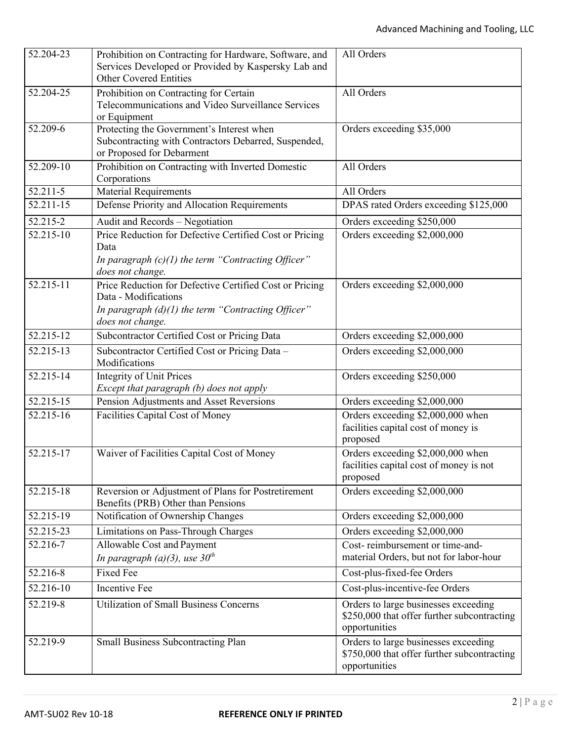| $\overline{52.204}$ -23 | Prohibition on Contracting for Hardware, Software, and<br>Services Developed or Provided by Kaspersky Lab and<br><b>Other Covered Entities</b>              | All Orders                                                                                           |
|-------------------------|-------------------------------------------------------------------------------------------------------------------------------------------------------------|------------------------------------------------------------------------------------------------------|
| 52.204-25               | Prohibition on Contracting for Certain<br>Telecommunications and Video Surveillance Services<br>or Equipment                                                | All Orders                                                                                           |
| 52.209-6                | Protecting the Government's Interest when<br>Subcontracting with Contractors Debarred, Suspended,<br>or Proposed for Debarment                              | Orders exceeding \$35,000                                                                            |
| 52.209-10               | Prohibition on Contracting with Inverted Domestic<br>Corporations                                                                                           | All Orders                                                                                           |
| 52.211-5                | <b>Material Requirements</b>                                                                                                                                | All Orders                                                                                           |
| 52.211-15               | Defense Priority and Allocation Requirements                                                                                                                | DPAS rated Orders exceeding \$125,000                                                                |
| 52.215-2                | Audit and Records - Negotiation                                                                                                                             | Orders exceeding \$250,000                                                                           |
| 52.215-10               | Price Reduction for Defective Certified Cost or Pricing<br>Data<br>In paragraph $(c)(1)$ the term "Contracting Officer"<br>does not change.                 | Orders exceeding \$2,000,000                                                                         |
| 52.215-11               | Price Reduction for Defective Certified Cost or Pricing<br>Data - Modifications<br>In paragraph $(d)(1)$ the term "Contracting Officer"<br>does not change. | Orders exceeding \$2,000,000                                                                         |
| 52.215-12               | Subcontractor Certified Cost or Pricing Data                                                                                                                | Orders exceeding \$2,000,000                                                                         |
| 52.215-13               | Subcontractor Certified Cost or Pricing Data -<br>Modifications                                                                                             | Orders exceeding \$2,000,000                                                                         |
| 52.215-14               | <b>Integrity of Unit Prices</b><br>Except that paragraph (b) does not apply                                                                                 | Orders exceeding \$250,000                                                                           |
| 52.215-15               | Pension Adjustments and Asset Reversions                                                                                                                    | Orders exceeding \$2,000,000                                                                         |
| 52.215-16               | Facilities Capital Cost of Money                                                                                                                            | Orders exceeding \$2,000,000 when<br>facilities capital cost of money is<br>proposed                 |
| 52.215-17               | Waiver of Facilities Capital Cost of Money                                                                                                                  | Orders exceeding \$2,000,000 when<br>facilities capital cost of money is not<br>proposed             |
| 52.215-18               | Reversion or Adjustment of Plans for Postretirement<br>Benefits (PRB) Other than Pensions                                                                   | Orders exceeding \$2,000,000                                                                         |
| 52.215-19               | Notification of Ownership Changes                                                                                                                           | Orders exceeding \$2,000,000                                                                         |
| 52.215-23               | Limitations on Pass-Through Charges                                                                                                                         | Orders exceeding \$2,000,000                                                                         |
| 52.216-7                | Allowable Cost and Payment<br>In paragraph (a)(3), use $30th$                                                                                               | Cost-reimbursement or time-and-<br>material Orders, but not for labor-hour                           |
| 52.216-8                | <b>Fixed Fee</b>                                                                                                                                            | Cost-plus-fixed-fee Orders                                                                           |
| 52.216-10               | Incentive Fee                                                                                                                                               | Cost-plus-incentive-fee Orders                                                                       |
| 52.219-8                | <b>Utilization of Small Business Concerns</b>                                                                                                               | Orders to large businesses exceeding<br>\$250,000 that offer further subcontracting<br>opportunities |
| 52.219-9                | Small Business Subcontracting Plan                                                                                                                          | Orders to large businesses exceeding<br>\$750,000 that offer further subcontracting<br>opportunities |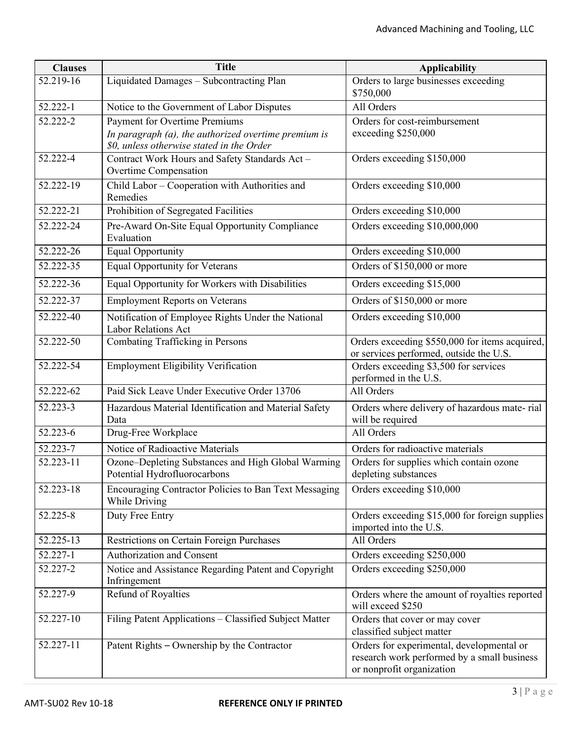| <b>Clauses</b> | <b>Title</b>                                                                                                                              | <b>Applicability</b>                                                                                                  |
|----------------|-------------------------------------------------------------------------------------------------------------------------------------------|-----------------------------------------------------------------------------------------------------------------------|
| 52.219-16      | Liquidated Damages - Subcontracting Plan                                                                                                  | Orders to large businesses exceeding<br>\$750,000                                                                     |
| 52.222-1       | Notice to the Government of Labor Disputes                                                                                                | All Orders                                                                                                            |
| 52.222-2       | <b>Payment for Overtime Premiums</b><br>In paragraph (a), the authorized overtime premium is<br>\$0, unless otherwise stated in the Order | Orders for cost-reimbursement<br>exceeding \$250,000                                                                  |
| 52.222-4       | Contract Work Hours and Safety Standards Act-<br>Overtime Compensation                                                                    | Orders exceeding \$150,000                                                                                            |
| 52.222-19      | Child Labor - Cooperation with Authorities and<br>Remedies                                                                                | Orders exceeding \$10,000                                                                                             |
| 52.222-21      | Prohibition of Segregated Facilities                                                                                                      | Orders exceeding \$10,000                                                                                             |
| 52.222-24      | Pre-Award On-Site Equal Opportunity Compliance<br>Evaluation                                                                              | Orders exceeding \$10,000,000                                                                                         |
| 52.222-26      | <b>Equal Opportunity</b>                                                                                                                  | Orders exceeding \$10,000                                                                                             |
| 52.222-35      | <b>Equal Opportunity for Veterans</b>                                                                                                     | Orders of \$150,000 or more                                                                                           |
| 52.222-36      | Equal Opportunity for Workers with Disabilities                                                                                           | Orders exceeding \$15,000                                                                                             |
| 52.222-37      | <b>Employment Reports on Veterans</b>                                                                                                     | Orders of \$150,000 or more                                                                                           |
| 52.222-40      | Notification of Employee Rights Under the National<br><b>Labor Relations Act</b>                                                          | Orders exceeding \$10,000                                                                                             |
| 52.222-50      | <b>Combating Trafficking in Persons</b>                                                                                                   | Orders exceeding \$550,000 for items acquired,<br>or services performed, outside the U.S.                             |
| 52.222-54      | <b>Employment Eligibility Verification</b>                                                                                                | Orders exceeding \$3,500 for services<br>performed in the U.S.                                                        |
| 52.222-62      | Paid Sick Leave Under Executive Order 13706                                                                                               | All Orders                                                                                                            |
| 52.223-3       | Hazardous Material Identification and Material Safety<br>Data                                                                             | Orders where delivery of hazardous mate-rial<br>will be required                                                      |
| 52.223-6       | Drug-Free Workplace                                                                                                                       | All Orders                                                                                                            |
| 52.223-7       | Notice of Radioactive Materials                                                                                                           | Orders for radioactive materials                                                                                      |
| 52.223-11      | Ozone-Depleting Substances and High Global Warming<br>Potential Hydrofluorocarbons                                                        | Orders for supplies which contain ozone<br>depleting substances                                                       |
| 52.223-18      | Encouraging Contractor Policies to Ban Text Messaging<br>While Driving                                                                    | Orders exceeding \$10,000                                                                                             |
| 52.225-8       | Duty Free Entry                                                                                                                           | Orders exceeding \$15,000 for foreign supplies<br>imported into the U.S.                                              |
| 52.225-13      | <b>Restrictions on Certain Foreign Purchases</b>                                                                                          | All Orders                                                                                                            |
| 52.227-1       | Authorization and Consent                                                                                                                 | Orders exceeding \$250,000                                                                                            |
| 52.227-2       | Notice and Assistance Regarding Patent and Copyright<br>Infringement                                                                      | Orders exceeding \$250,000                                                                                            |
| 52.227-9       | Refund of Royalties                                                                                                                       | Orders where the amount of royalties reported<br>will exceed \$250                                                    |
| 52.227-10      | Filing Patent Applications - Classified Subject Matter                                                                                    | Orders that cover or may cover<br>classified subject matter                                                           |
| 52.227-11      | Patent Rights – Ownership by the Contractor                                                                                               | Orders for experimental, developmental or<br>research work performed by a small business<br>or nonprofit organization |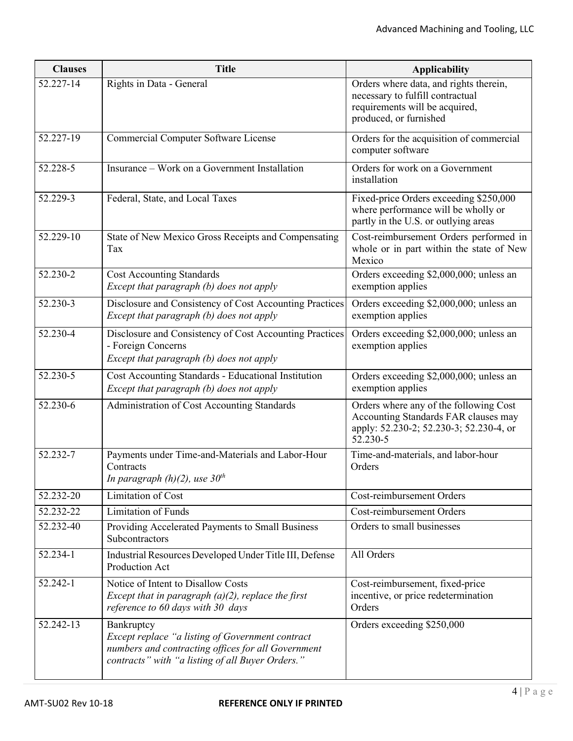| <b>Clauses</b> | <b>Title</b>                                                                                                                                                             | <b>Applicability</b>                                                                                                                   |
|----------------|--------------------------------------------------------------------------------------------------------------------------------------------------------------------------|----------------------------------------------------------------------------------------------------------------------------------------|
| 52.227-14      | Rights in Data - General                                                                                                                                                 | Orders where data, and rights therein,<br>necessary to fulfill contractual<br>requirements will be acquired,<br>produced, or furnished |
| 52.227-19      | Commercial Computer Software License                                                                                                                                     | Orders for the acquisition of commercial<br>computer software                                                                          |
| 52.228-5       | Insurance - Work on a Government Installation                                                                                                                            | Orders for work on a Government<br>installation                                                                                        |
| 52.229-3       | Federal, State, and Local Taxes                                                                                                                                          | Fixed-price Orders exceeding \$250,000<br>where performance will be wholly or<br>partly in the U.S. or outlying areas                  |
| 52.229-10      | State of New Mexico Gross Receipts and Compensating<br>Tax                                                                                                               | Cost-reimbursement Orders performed in<br>whole or in part within the state of New<br>Mexico                                           |
| 52.230-2       | <b>Cost Accounting Standards</b><br>Except that paragraph (b) does not apply                                                                                             | Orders exceeding \$2,000,000; unless an<br>exemption applies                                                                           |
| 52.230-3       | Disclosure and Consistency of Cost Accounting Practices<br>Except that paragraph (b) does not apply                                                                      | Orders exceeding \$2,000,000; unless an<br>exemption applies                                                                           |
| 52.230-4       | Disclosure and Consistency of Cost Accounting Practices<br>- Foreign Concerns<br>Except that paragraph (b) does not apply                                                | Orders exceeding \$2,000,000; unless an<br>exemption applies                                                                           |
| 52.230-5       | Cost Accounting Standards - Educational Institution<br>Except that paragraph (b) does not apply                                                                          | Orders exceeding \$2,000,000; unless an<br>exemption applies                                                                           |
| 52.230-6       | Administration of Cost Accounting Standards                                                                                                                              | Orders where any of the following Cost<br>Accounting Standards FAR clauses may<br>apply: 52.230-2; 52.230-3; 52.230-4, or<br>52.230-5  |
| 52.232-7       | Payments under Time-and-Materials and Labor-Hour<br>Contracts<br>In paragraph $(h)(2)$ , use $30th$                                                                      | Time-and-materials, and labor-hour<br>Orders                                                                                           |
| 52.232-20      | Limitation of Cost                                                                                                                                                       | Cost-reimbursement Orders                                                                                                              |
| 52.232-22      | <b>Limitation of Funds</b>                                                                                                                                               | Cost-reimbursement Orders                                                                                                              |
| 52.232-40      | Providing Accelerated Payments to Small Business<br>Subcontractors                                                                                                       | Orders to small businesses                                                                                                             |
| 52.234-1       | Industrial Resources Developed Under Title III, Defense<br>Production Act                                                                                                | All Orders                                                                                                                             |
| 52.242-1       | Notice of Intent to Disallow Costs<br>Except that in paragraph $(a)(2)$ , replace the first<br>reference to 60 days with 30 days                                         | Cost-reimbursement, fixed-price<br>incentive, or price redetermination<br>Orders                                                       |
| 52.242-13      | Bankruptcy<br>Except replace "a listing of Government contract<br>numbers and contracting offices for all Government<br>contracts" with "a listing of all Buyer Orders." | Orders exceeding \$250,000                                                                                                             |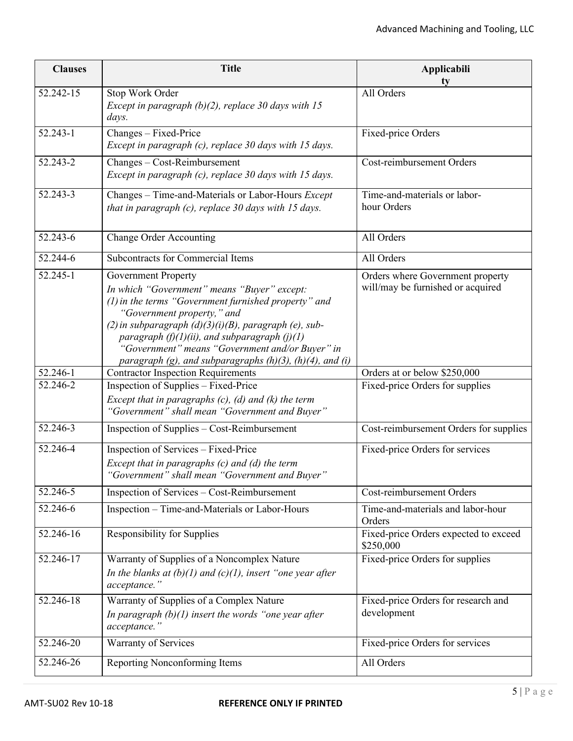| <b>Clauses</b> | <b>Title</b>                                                                                                                                                                                                                                                                                                                                                                                                | Applicabili<br>tv                                                     |
|----------------|-------------------------------------------------------------------------------------------------------------------------------------------------------------------------------------------------------------------------------------------------------------------------------------------------------------------------------------------------------------------------------------------------------------|-----------------------------------------------------------------------|
| 52.242-15      | Stop Work Order<br>Except in paragraph $(b)(2)$ , replace 30 days with 15<br>days.                                                                                                                                                                                                                                                                                                                          | All Orders                                                            |
| $52.243 - 1$   | Changes - Fixed-Price<br>Except in paragraph (c), replace 30 days with 15 days.                                                                                                                                                                                                                                                                                                                             | Fixed-price Orders                                                    |
| 52.243-2       | Changes - Cost-Reimbursement<br>Except in paragraph (c), replace 30 days with 15 days.                                                                                                                                                                                                                                                                                                                      | Cost-reimbursement Orders                                             |
| 52.243-3       | Changes - Time-and-Materials or Labor-Hours Except<br>that in paragraph $(c)$ , replace 30 days with 15 days.                                                                                                                                                                                                                                                                                               | Time-and-materials or labor-<br>hour Orders                           |
| 52.243-6       | <b>Change Order Accounting</b>                                                                                                                                                                                                                                                                                                                                                                              | All Orders                                                            |
| 52.244-6       | Subcontracts for Commercial Items                                                                                                                                                                                                                                                                                                                                                                           | All Orders                                                            |
| 52.245-1       | <b>Government Property</b><br>In which "Government" means "Buyer" except:<br>(1) in the terms "Government furnished property" and<br>"Government property," and<br>(2) in subparagraph $(d)(3)(i)(B)$ , paragraph (e), sub-<br>paragraph $(f)(1)(ii)$ , and subparagraph $(j)(1)$<br>"Government" means "Government and/or Buyer" in<br>paragraph $(g)$ , and subparagraphs $(h)(3)$ , $(h)(4)$ , and $(i)$ | Orders where Government property<br>will/may be furnished or acquired |
| 52.246-1       | <b>Contractor Inspection Requirements</b>                                                                                                                                                                                                                                                                                                                                                                   | Orders at or below \$250,000                                          |
| 52.246-2       | Inspection of Supplies - Fixed-Price<br>Except that in paragraphs $(c)$ , $(d)$ and $(k)$ the term<br>"Government" shall mean "Government and Buyer"                                                                                                                                                                                                                                                        | Fixed-price Orders for supplies                                       |
| 52.246-3       | Inspection of Supplies - Cost-Reimbursement                                                                                                                                                                                                                                                                                                                                                                 | Cost-reimbursement Orders for supplies                                |
| 52.246-4       | Inspection of Services - Fixed-Price<br>Except that in paragraphs $(c)$ and $(d)$ the term<br>"Government" shall mean "Government and Buyer"                                                                                                                                                                                                                                                                | Fixed-price Orders for services                                       |
| $52.246 - 5$   | Inspection of Services - Cost-Reimbursement                                                                                                                                                                                                                                                                                                                                                                 | Cost-reimbursement Orders                                             |
| 52.246-6       | Inspection - Time-and-Materials or Labor-Hours                                                                                                                                                                                                                                                                                                                                                              | Time-and-materials and labor-hour<br>Orders                           |
| 52.246-16      | <b>Responsibility for Supplies</b>                                                                                                                                                                                                                                                                                                                                                                          | Fixed-price Orders expected to exceed<br>\$250,000                    |
| 52.246-17      | Warranty of Supplies of a Noncomplex Nature<br>In the blanks at $(b)(1)$ and $(c)(1)$ , insert "one year after"<br>acceptance."                                                                                                                                                                                                                                                                             | Fixed-price Orders for supplies                                       |
| 52.246-18      | Warranty of Supplies of a Complex Nature<br>In paragraph $(b)(1)$ insert the words "one year after<br>acceptance."                                                                                                                                                                                                                                                                                          | Fixed-price Orders for research and<br>development                    |
| 52.246-20      | Warranty of Services                                                                                                                                                                                                                                                                                                                                                                                        | Fixed-price Orders for services                                       |
| 52.246-26      | Reporting Nonconforming Items                                                                                                                                                                                                                                                                                                                                                                               | All Orders                                                            |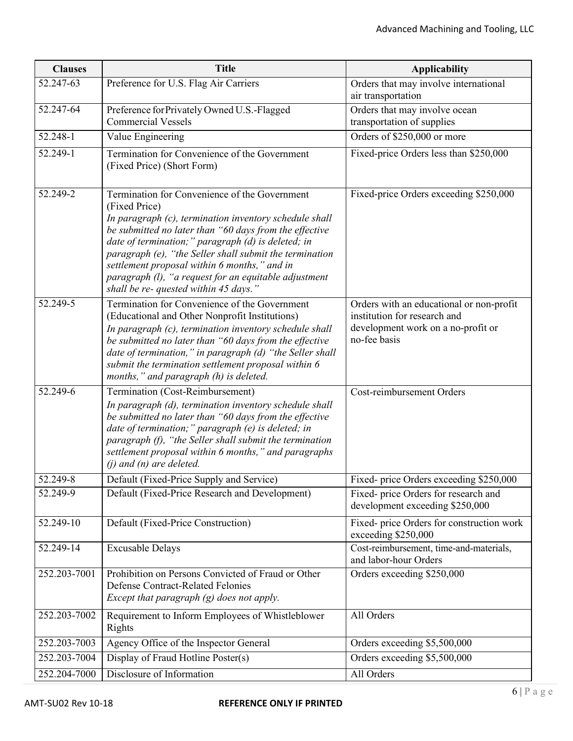| <b>Clauses</b> | <b>Title</b>                                                                                                                                                                                                                                                                                                                                                                                                                                          | <b>Applicability</b>                                                                                                           |
|----------------|-------------------------------------------------------------------------------------------------------------------------------------------------------------------------------------------------------------------------------------------------------------------------------------------------------------------------------------------------------------------------------------------------------------------------------------------------------|--------------------------------------------------------------------------------------------------------------------------------|
| 52.247-63      | Preference for U.S. Flag Air Carriers                                                                                                                                                                                                                                                                                                                                                                                                                 | Orders that may involve international<br>air transportation                                                                    |
| 52.247-64      | Preference for Privately Owned U.S.-Flagged<br><b>Commercial Vessels</b>                                                                                                                                                                                                                                                                                                                                                                              | Orders that may involve ocean<br>transportation of supplies                                                                    |
| 52.248-1       | Value Engineering                                                                                                                                                                                                                                                                                                                                                                                                                                     | Orders of \$250,000 or more                                                                                                    |
| 52.249-1       | Termination for Convenience of the Government<br>(Fixed Price) (Short Form)                                                                                                                                                                                                                                                                                                                                                                           | Fixed-price Orders less than \$250,000                                                                                         |
| 52.249-2       | Termination for Convenience of the Government<br>(Fixed Price)<br>In paragraph (c), termination inventory schedule shall<br>be submitted no later than "60 days from the effective<br>date of termination;" paragraph (d) is deleted; in<br>paragraph (e), "the Seller shall submit the termination<br>settlement proposal within 6 months," and in<br>paragraph (l), "a request for an equitable adjustment<br>shall be re- quested within 45 days." | Fixed-price Orders exceeding \$250,000                                                                                         |
| 52.249-5       | Termination for Convenience of the Government<br>(Educational and Other Nonprofit Institutions)<br>In paragraph (c), termination inventory schedule shall<br>be submitted no later than "60 days from the effective<br>date of termination," in paragraph (d) "the Seller shall<br>submit the termination settlement proposal within 6<br>months," and paragraph (h) is deleted.                                                                      | Orders with an educational or non-profit<br>institution for research and<br>development work on a no-profit or<br>no-fee basis |
| 52.249-6       | Termination (Cost-Reimbursement)<br>In paragraph (d), termination inventory schedule shall<br>be submitted no later than "60 days from the effective<br>date of termination;" paragraph (e) is deleted; in<br>paragraph (f), "the Seller shall submit the termination<br>settlement proposal within 6 months," and paragraphs<br>$(i)$ and $(n)$ are deleted.                                                                                         | Cost-reimbursement Orders                                                                                                      |
| 52.249-8       | Default (Fixed-Price Supply and Service)                                                                                                                                                                                                                                                                                                                                                                                                              | Fixed- price Orders exceeding \$250,000                                                                                        |
| 52.249-9       | Default (Fixed-Price Research and Development)                                                                                                                                                                                                                                                                                                                                                                                                        | Fixed- price Orders for research and<br>development exceeding \$250,000                                                        |
| 52.249-10      | Default (Fixed-Price Construction)                                                                                                                                                                                                                                                                                                                                                                                                                    | Fixed- price Orders for construction work<br>exceeding \$250,000                                                               |
| 52.249-14      | <b>Excusable Delays</b>                                                                                                                                                                                                                                                                                                                                                                                                                               | Cost-reimbursement, time-and-materials,<br>and labor-hour Orders                                                               |
| 252.203-7001   | Prohibition on Persons Convicted of Fraud or Other<br><b>Defense Contract-Related Felonies</b><br>Except that paragraph $(g)$ does not apply.                                                                                                                                                                                                                                                                                                         | Orders exceeding \$250,000                                                                                                     |
| 252.203-7002   | Requirement to Inform Employees of Whistleblower<br>Rights                                                                                                                                                                                                                                                                                                                                                                                            | All Orders                                                                                                                     |
| 252.203-7003   | Agency Office of the Inspector General                                                                                                                                                                                                                                                                                                                                                                                                                | Orders exceeding \$5,500,000                                                                                                   |
| 252.203-7004   | Display of Fraud Hotline Poster(s)                                                                                                                                                                                                                                                                                                                                                                                                                    | Orders exceeding \$5,500,000                                                                                                   |
| 252.204-7000   | Disclosure of Information                                                                                                                                                                                                                                                                                                                                                                                                                             | All Orders                                                                                                                     |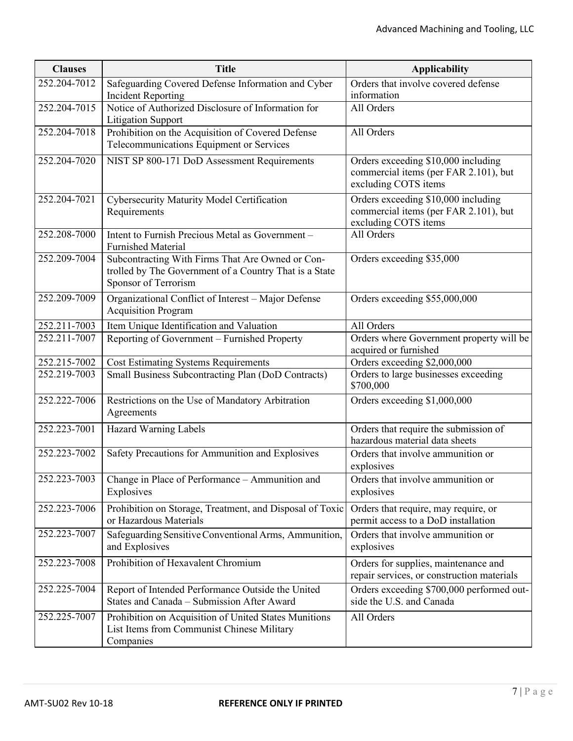| <b>Clauses</b> | <b>Title</b>                                                                                                                       | <b>Applicability</b>                                                                                 |
|----------------|------------------------------------------------------------------------------------------------------------------------------------|------------------------------------------------------------------------------------------------------|
| 252.204-7012   | Safeguarding Covered Defense Information and Cyber<br><b>Incident Reporting</b>                                                    | Orders that involve covered defense<br>information                                                   |
| 252.204-7015   | Notice of Authorized Disclosure of Information for<br><b>Litigation Support</b>                                                    | All Orders                                                                                           |
| 252.204-7018   | Prohibition on the Acquisition of Covered Defense<br>Telecommunications Equipment or Services                                      | All Orders                                                                                           |
| 252.204-7020   | NIST SP 800-171 DoD Assessment Requirements                                                                                        | Orders exceeding \$10,000 including<br>commercial items (per FAR 2.101), but<br>excluding COTS items |
| 252.204-7021   | Cybersecurity Maturity Model Certification<br>Requirements                                                                         | Orders exceeding \$10,000 including<br>commercial items (per FAR 2.101), but<br>excluding COTS items |
| 252.208-7000   | Intent to Furnish Precious Metal as Government -<br><b>Furnished Material</b>                                                      | All Orders                                                                                           |
| 252.209-7004   | Subcontracting With Firms That Are Owned or Con-<br>trolled by The Government of a Country That is a State<br>Sponsor of Terrorism | Orders exceeding \$35,000                                                                            |
| 252.209-7009   | Organizational Conflict of Interest - Major Defense<br><b>Acquisition Program</b>                                                  | Orders exceeding \$55,000,000                                                                        |
| 252.211-7003   | Item Unique Identification and Valuation                                                                                           | All Orders                                                                                           |
| 252.211-7007   | Reporting of Government – Furnished Property                                                                                       | Orders where Government property will be<br>acquired or furnished                                    |
| 252.215-7002   | <b>Cost Estimating Systems Requirements</b>                                                                                        | Orders exceeding \$2,000,000                                                                         |
| 252.219-7003   | Small Business Subcontracting Plan (DoD Contracts)                                                                                 | Orders to large businesses exceeding<br>\$700,000                                                    |
| 252.222-7006   | Restrictions on the Use of Mandatory Arbitration<br>Agreements                                                                     | Orders exceeding \$1,000,000                                                                         |
| 252.223-7001   | Hazard Warning Labels                                                                                                              | Orders that require the submission of<br>hazardous material data sheets                              |
| 252.223-7002   | Safety Precautions for Ammunition and Explosives                                                                                   | Orders that involve ammunition or<br>explosives                                                      |
| 252.223-7003   | Change in Place of Performance - Ammunition and<br>Explosives                                                                      | Orders that involve ammunition or<br>explosives                                                      |
| 252.223-7006   | Prohibition on Storage, Treatment, and Disposal of Toxic<br>or Hazardous Materials                                                 | Orders that require, may require, or<br>permit access to a DoD installation                          |
| 252.223-7007   | Safeguarding Sensitive Conventional Arms, Ammunition,<br>and Explosives                                                            | Orders that involve ammunition or<br>explosives                                                      |
| 252.223-7008   | Prohibition of Hexavalent Chromium                                                                                                 | Orders for supplies, maintenance and<br>repair services, or construction materials                   |
| 252.225-7004   | Report of Intended Performance Outside the United<br>States and Canada - Submission After Award                                    | Orders exceeding \$700,000 performed out-<br>side the U.S. and Canada                                |
| 252.225-7007   | Prohibition on Acquisition of United States Munitions<br>List Items from Communist Chinese Military<br>Companies                   | All Orders                                                                                           |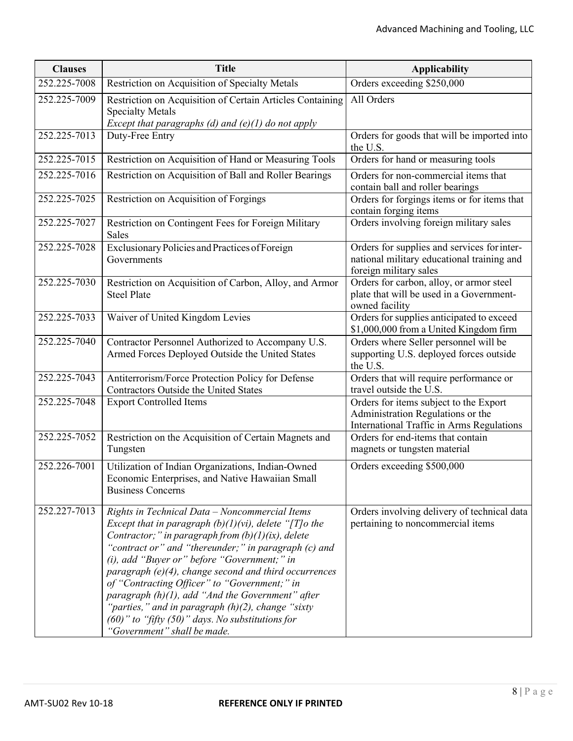| <b>Clauses</b> | <b>Title</b>                                                                                                                                                                                                                                                                                                                                                                                                                                                                                                                                                                                         | <b>Applicability</b>                                                                                                     |
|----------------|------------------------------------------------------------------------------------------------------------------------------------------------------------------------------------------------------------------------------------------------------------------------------------------------------------------------------------------------------------------------------------------------------------------------------------------------------------------------------------------------------------------------------------------------------------------------------------------------------|--------------------------------------------------------------------------------------------------------------------------|
| 252.225-7008   | Restriction on Acquisition of Specialty Metals                                                                                                                                                                                                                                                                                                                                                                                                                                                                                                                                                       | Orders exceeding \$250,000                                                                                               |
| 252.225-7009   | Restriction on Acquisition of Certain Articles Containing<br><b>Specialty Metals</b><br>Except that paragraphs (d) and $(e)(1)$ do not apply                                                                                                                                                                                                                                                                                                                                                                                                                                                         | All Orders                                                                                                               |
| 252.225-7013   | Duty-Free Entry                                                                                                                                                                                                                                                                                                                                                                                                                                                                                                                                                                                      | Orders for goods that will be imported into<br>the U.S.                                                                  |
| 252.225-7015   | Restriction on Acquisition of Hand or Measuring Tools                                                                                                                                                                                                                                                                                                                                                                                                                                                                                                                                                | Orders for hand or measuring tools                                                                                       |
| 252.225-7016   | Restriction on Acquisition of Ball and Roller Bearings                                                                                                                                                                                                                                                                                                                                                                                                                                                                                                                                               | Orders for non-commercial items that<br>contain ball and roller bearings                                                 |
| 252.225-7025   | Restriction on Acquisition of Forgings                                                                                                                                                                                                                                                                                                                                                                                                                                                                                                                                                               | Orders for forgings items or for items that<br>contain forging items                                                     |
| 252.225-7027   | Restriction on Contingent Fees for Foreign Military<br>Sales                                                                                                                                                                                                                                                                                                                                                                                                                                                                                                                                         | Orders involving foreign military sales                                                                                  |
| 252.225-7028   | Exclusionary Policies and Practices of Foreign<br>Governments                                                                                                                                                                                                                                                                                                                                                                                                                                                                                                                                        | Orders for supplies and services for inter-<br>national military educational training and<br>foreign military sales      |
| 252.225-7030   | Restriction on Acquisition of Carbon, Alloy, and Armor<br><b>Steel Plate</b>                                                                                                                                                                                                                                                                                                                                                                                                                                                                                                                         | Orders for carbon, alloy, or armor steel<br>plate that will be used in a Government-<br>owned facility                   |
| 252.225-7033   | Waiver of United Kingdom Levies                                                                                                                                                                                                                                                                                                                                                                                                                                                                                                                                                                      | Orders for supplies anticipated to exceed<br>\$1,000,000 from a United Kingdom firm                                      |
| 252.225-7040   | Contractor Personnel Authorized to Accompany U.S.<br>Armed Forces Deployed Outside the United States                                                                                                                                                                                                                                                                                                                                                                                                                                                                                                 | Orders where Seller personnel will be<br>supporting U.S. deployed forces outside<br>the U.S.                             |
| 252.225-7043   | Antiterrorism/Force Protection Policy for Defense<br>Contractors Outside the United States                                                                                                                                                                                                                                                                                                                                                                                                                                                                                                           | Orders that will require performance or<br>travel outside the U.S.                                                       |
| 252.225-7048   | <b>Export Controlled Items</b>                                                                                                                                                                                                                                                                                                                                                                                                                                                                                                                                                                       | Orders for items subject to the Export<br>Administration Regulations or the<br>International Traffic in Arms Regulations |
| 252.225-7052   | Restriction on the Acquisition of Certain Magnets and<br>Tungsten                                                                                                                                                                                                                                                                                                                                                                                                                                                                                                                                    | Orders for end-items that contain<br>magnets or tungsten material                                                        |
| 252.226-7001   | Utilization of Indian Organizations, Indian-Owned<br>Economic Enterprises, and Native Hawaiian Small<br><b>Business Concerns</b>                                                                                                                                                                                                                                                                                                                                                                                                                                                                     | Orders exceeding \$500,000                                                                                               |
| 252.227-7013   | Rights in Technical Data - Noncommercial Items<br>Except that in paragraph $(b)(1)(vi)$ , delete "[T] $o$ the<br>Contractor;" in paragraph from $(b)(1)(ix)$ , delete<br>"contract or" and "thereunder;" in paragraph (c) and<br>$(i)$ , add "Buyer or" before "Government;" in<br>paragraph $(e)(4)$ , change second and third occurrences<br>of "Contracting Officer" to "Government;" in<br>paragraph $(h)(1)$ , add "And the Government" after<br>"parties," and in paragraph $(h)(2)$ , change "sixty"<br>$(60)$ " to "fifty $(50)$ " days. No substitutions for<br>'Government" shall be made. | Orders involving delivery of technical data<br>pertaining to noncommercial items                                         |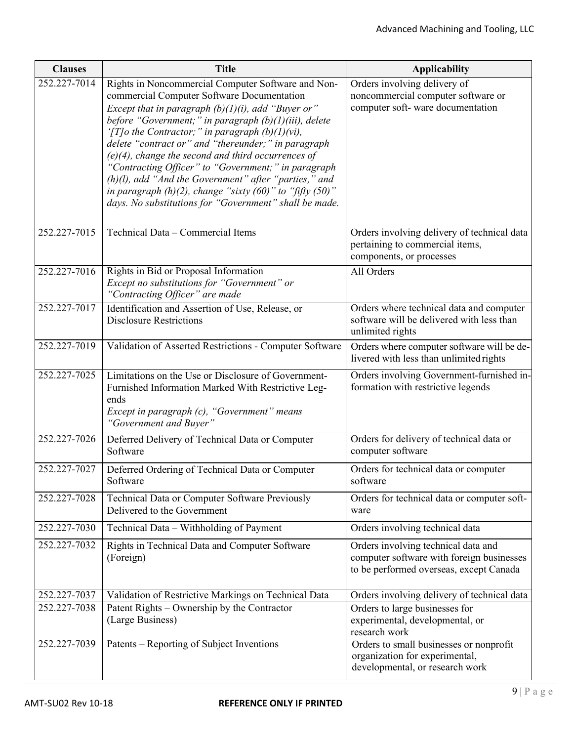| <b>Clauses</b> | <b>Title</b>                                                                                                                                                                                                                                                                                                                                                                                                                                                                                                                                                                                                                               | <b>Applicability</b>                                                                                                        |
|----------------|--------------------------------------------------------------------------------------------------------------------------------------------------------------------------------------------------------------------------------------------------------------------------------------------------------------------------------------------------------------------------------------------------------------------------------------------------------------------------------------------------------------------------------------------------------------------------------------------------------------------------------------------|-----------------------------------------------------------------------------------------------------------------------------|
| 252.227-7014   | Rights in Noncommercial Computer Software and Non-<br>commercial Computer Software Documentation<br>Except that in paragraph $(b)(1)(i)$ , add "Buyer or"<br>before "Government;" in paragraph (b)(1)(iii), delete<br>'[T]o the Contractor;" in paragraph $(b)(1)(vi)$ ,<br>delete "contract or" and "thereunder;" in paragraph<br>$(e)(4)$ , change the second and third occurrences of<br>"Contracting Officer" to "Government;" in paragraph<br>$(h)(l)$ , add "And the Government" after "parties," and<br>in paragraph $(h)(2)$ , change "sixty $(60)$ " to "fifty $(50)$ "<br>days. No substitutions for "Government" shall be made. | Orders involving delivery of<br>noncommercial computer software or<br>computer soft-ware documentation                      |
| 252.227-7015   | Technical Data - Commercial Items                                                                                                                                                                                                                                                                                                                                                                                                                                                                                                                                                                                                          | Orders involving delivery of technical data<br>pertaining to commercial items,<br>components, or processes                  |
| 252.227-7016   | Rights in Bid or Proposal Information<br>Except no substitutions for "Government" or<br>"Contracting Officer" are made                                                                                                                                                                                                                                                                                                                                                                                                                                                                                                                     | All Orders                                                                                                                  |
| 252.227-7017   | Identification and Assertion of Use, Release, or<br><b>Disclosure Restrictions</b>                                                                                                                                                                                                                                                                                                                                                                                                                                                                                                                                                         | Orders where technical data and computer<br>software will be delivered with less than<br>unlimited rights                   |
| 252.227-7019   | Validation of Asserted Restrictions - Computer Software                                                                                                                                                                                                                                                                                                                                                                                                                                                                                                                                                                                    | Orders where computer software will be de-<br>livered with less than unlimited rights                                       |
| 252.227-7025   | Limitations on the Use or Disclosure of Government-<br>Furnished Information Marked With Restrictive Leg-<br>ends<br>Except in paragraph (c), "Government" means<br>"Government and Buyer"                                                                                                                                                                                                                                                                                                                                                                                                                                                 | Orders involving Government-furnished in-<br>formation with restrictive legends                                             |
| 252.227-7026   | Deferred Delivery of Technical Data or Computer<br>Software                                                                                                                                                                                                                                                                                                                                                                                                                                                                                                                                                                                | Orders for delivery of technical data or<br>computer software                                                               |
| 252.227-7027   | Deferred Ordering of Technical Data or Computer<br>Software                                                                                                                                                                                                                                                                                                                                                                                                                                                                                                                                                                                | Orders for technical data or computer<br>software                                                                           |
| 252.227-7028   | Technical Data or Computer Software Previously<br>Delivered to the Government                                                                                                                                                                                                                                                                                                                                                                                                                                                                                                                                                              | Orders for technical data or computer soft-<br>ware                                                                         |
| 252.227-7030   | Technical Data - Withholding of Payment                                                                                                                                                                                                                                                                                                                                                                                                                                                                                                                                                                                                    | Orders involving technical data                                                                                             |
| 252.227-7032   | Rights in Technical Data and Computer Software<br>(Foreign)                                                                                                                                                                                                                                                                                                                                                                                                                                                                                                                                                                                | Orders involving technical data and<br>computer software with foreign businesses<br>to be performed overseas, except Canada |
| 252.227-7037   | Validation of Restrictive Markings on Technical Data                                                                                                                                                                                                                                                                                                                                                                                                                                                                                                                                                                                       | Orders involving delivery of technical data                                                                                 |
| 252.227-7038   | Patent Rights – Ownership by the Contractor<br>(Large Business)                                                                                                                                                                                                                                                                                                                                                                                                                                                                                                                                                                            | Orders to large businesses for<br>experimental, developmental, or<br>research work                                          |
| 252.227-7039   | Patents – Reporting of Subject Inventions                                                                                                                                                                                                                                                                                                                                                                                                                                                                                                                                                                                                  | Orders to small businesses or nonprofit<br>organization for experimental,<br>developmental, or research work                |